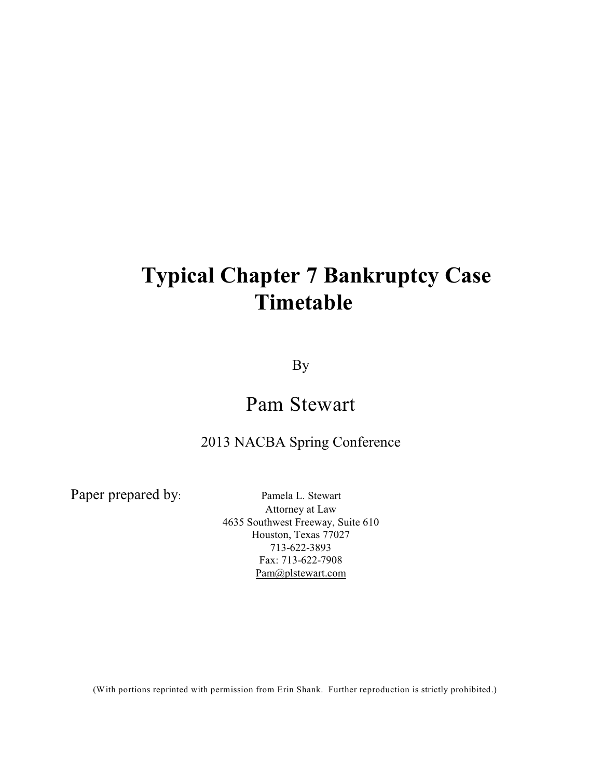# **Typical Chapter 7 Bankruptcy Case Timetable**

By

## Pam Stewart

## 2013 NACBA Spring Conference

Paper prepared by: Pamela L. Stewart

Attorney at Law 4635 Southwest Freeway, Suite 610 Houston, Texas 77027 713-622-3893 Fax: 713-622-7908 [Pam@plstewart.com](mailto:PLSatty@swbell.net)

(With portions reprinted with permission from Erin Shank. Further reproduction is strictly prohibited.)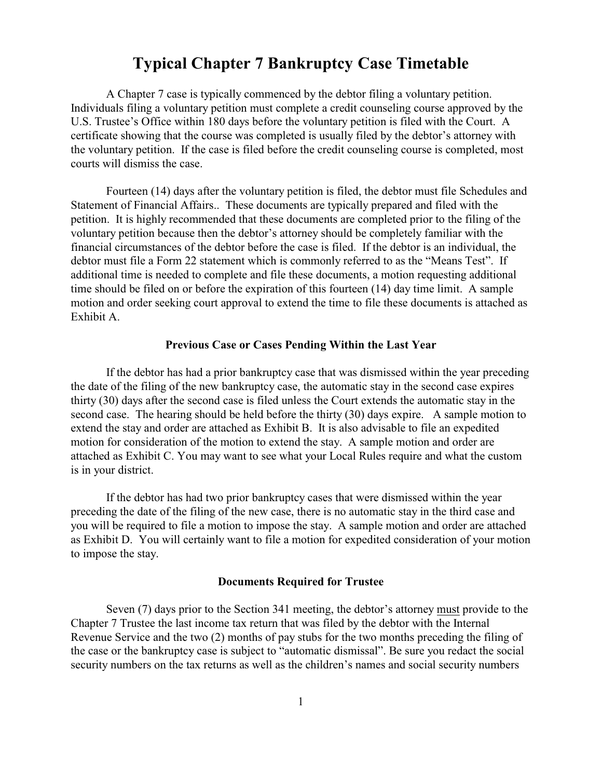### **Typical Chapter 7 Bankruptcy Case Timetable**

A Chapter 7 case is typically commenced by the debtor filing a voluntary petition. Individuals filing a voluntary petition must complete a credit counseling course approved by the U.S. Trustee's Office within 180 days before the voluntary petition is filed with the Court. A certificate showing that the course was completed is usually filed by the debtor's attorney with the voluntary petition. If the case is filed before the credit counseling course is completed, most courts will dismiss the case.

Fourteen (14) days after the voluntary petition is filed, the debtor must file Schedules and Statement of Financial Affairs.. These documents are typically prepared and filed with the petition. It is highly recommended that these documents are completed prior to the filing of the voluntary petition because then the debtor's attorney should be completely familiar with the financial circumstances of the debtor before the case is filed. If the debtor is an individual, the debtor must file a Form 22 statement which is commonly referred to as the "Means Test". If additional time is needed to complete and file these documents, a motion requesting additional time should be filed on or before the expiration of this fourteen (14) day time limit. A sample motion and order seeking court approval to extend the time to file these documents is attached as Exhibit A.

#### **Previous Case or Cases Pending Within the Last Year**

If the debtor has had a prior bankruptcy case that was dismissed within the year preceding the date of the filing of the new bankruptcy case, the automatic stay in the second case expires thirty (30) days after the second case is filed unless the Court extends the automatic stay in the second case. The hearing should be held before the thirty (30) days expire. A sample motion to extend the stay and order are attached as Exhibit B. It is also advisable to file an expedited motion for consideration of the motion to extend the stay. A sample motion and order are attached as Exhibit C. You may want to see what your Local Rules require and what the custom is in your district.

If the debtor has had two prior bankruptcy cases that were dismissed within the year preceding the date of the filing of the new case, there is no automatic stay in the third case and you will be required to file a motion to impose the stay. A sample motion and order are attached as Exhibit D. You will certainly want to file a motion for expedited consideration of your motion to impose the stay.

#### **Documents Required for Trustee**

Seven (7) days prior to the Section 341 meeting, the debtor's attorney must provide to the Chapter 7 Trustee the last income tax return that was filed by the debtor with the Internal Revenue Service and the two (2) months of pay stubs for the two months preceding the filing of the case or the bankruptcy case is subject to "automatic dismissal". Be sure you redact the social security numbers on the tax returns as well as the children's names and social security numbers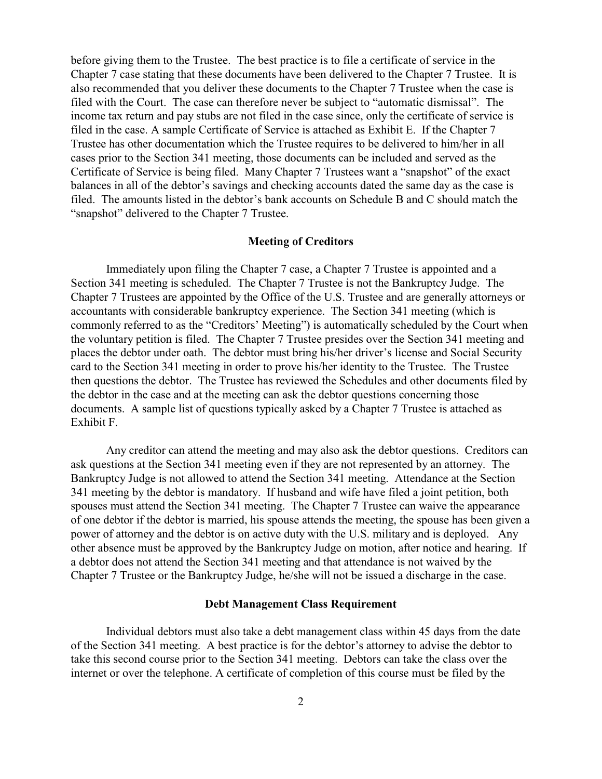before giving them to the Trustee. The best practice is to file a certificate of service in the Chapter 7 case stating that these documents have been delivered to the Chapter 7 Trustee. It is also recommended that you deliver these documents to the Chapter 7 Trustee when the case is filed with the Court. The case can therefore never be subject to "automatic dismissal". The income tax return and pay stubs are not filed in the case since, only the certificate of service is filed in the case. A sample Certificate of Service is attached as Exhibit E. If the Chapter 7 Trustee has other documentation which the Trustee requires to be delivered to him/her in all cases prior to the Section 341 meeting, those documents can be included and served as the Certificate of Service is being filed. Many Chapter 7 Trustees want a "snapshot" of the exact balances in all of the debtor's savings and checking accounts dated the same day as the case is filed. The amounts listed in the debtor's bank accounts on Schedule B and C should match the "snapshot" delivered to the Chapter 7 Trustee.

#### **Meeting of Creditors**

Immediately upon filing the Chapter 7 case, a Chapter 7 Trustee is appointed and a Section 341 meeting is scheduled. The Chapter 7 Trustee is not the Bankruptcy Judge. The Chapter 7 Trustees are appointed by the Office of the U.S. Trustee and are generally attorneys or accountants with considerable bankruptcy experience. The Section 341 meeting (which is commonly referred to as the "Creditors' Meeting") is automatically scheduled by the Court when the voluntary petition is filed. The Chapter 7 Trustee presides over the Section 341 meeting and places the debtor under oath. The debtor must bring his/her driver's license and Social Security card to the Section 341 meeting in order to prove his/her identity to the Trustee. The Trustee then questions the debtor. The Trustee has reviewed the Schedules and other documents filed by the debtor in the case and at the meeting can ask the debtor questions concerning those documents. A sample list of questions typically asked by a Chapter 7 Trustee is attached as Exhibit F.

Any creditor can attend the meeting and may also ask the debtor questions. Creditors can ask questions at the Section 341 meeting even if they are not represented by an attorney. The Bankruptcy Judge is not allowed to attend the Section 341 meeting. Attendance at the Section 341 meeting by the debtor is mandatory. If husband and wife have filed a joint petition, both spouses must attend the Section 341 meeting. The Chapter 7 Trustee can waive the appearance of one debtor if the debtor is married, his spouse attends the meeting, the spouse has been given a power of attorney and the debtor is on active duty with the U.S. military and is deployed. Any other absence must be approved by the Bankruptcy Judge on motion, after notice and hearing. If a debtor does not attend the Section 341 meeting and that attendance is not waived by the Chapter 7 Trustee or the Bankruptcy Judge, he/she will not be issued a discharge in the case.

#### **Debt Management Class Requirement**

Individual debtors must also take a debt management class within 45 days from the date of the Section 341 meeting. A best practice is for the debtor's attorney to advise the debtor to take this second course prior to the Section 341 meeting. Debtors can take the class over the internet or over the telephone. A certificate of completion of this course must be filed by the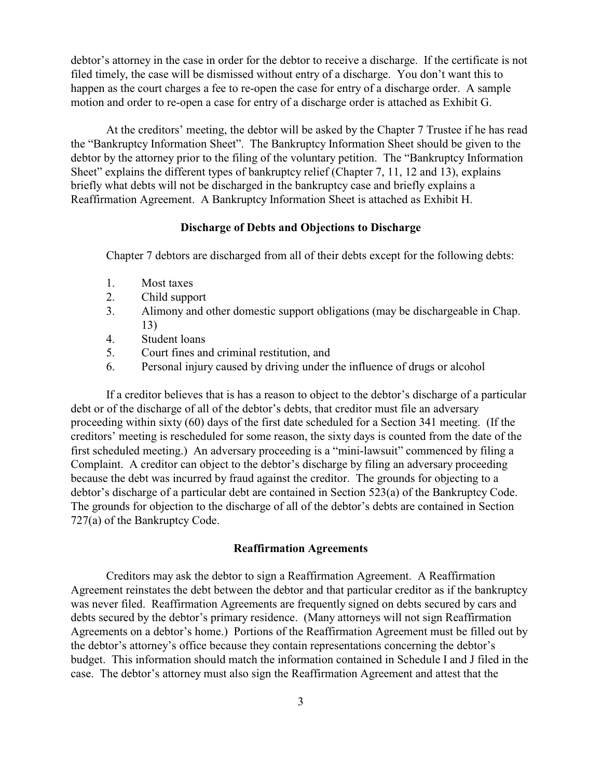debtor's attorney in the case in order for the debtor to receive a discharge. If the certificate is not filed timely, the case will be dismissed without entry of a discharge. You don't want this to happen as the court charges a fee to re-open the case for entry of a discharge order. A sample motion and order to re-open a case for entry of a discharge order is attached as Exhibit G.

At the creditors' meeting, the debtor will be asked by the Chapter 7 Trustee if he has read the "Bankruptcy Information Sheet". The Bankruptcy Information Sheet should be given to the debtor by the attorney prior to the filing of the voluntary petition. The "Bankruptcy Information Sheet" explains the different types of bankruptcy relief (Chapter 7, 11, 12 and 13), explains briefly what debts will not be discharged in the bankruptcy case and briefly explains a Reaffirmation Agreement. A Bankruptcy Information Sheet is attached as Exhibit H.

#### **Discharge of Debts and Objections to Discharge**

Chapter 7 debtors are discharged from all of their debts except for the following debts:

- 1. Most taxes
- 2. Child support
- 3. Alimony and other domestic support obligations (may be dischargeable in Chap. 13)
- 4. Student loans
- 5. Court fines and criminal restitution, and
- 6. Personal injury caused by driving under the influence of drugs or alcohol

If a creditor believes that is has a reason to object to the debtor's discharge of a particular debt or of the discharge of all of the debtor's debts, that creditor must file an adversary proceeding within sixty (60) days of the first date scheduled for a Section 341 meeting. (If the creditors' meeting is rescheduled for some reason, the sixty days is counted from the date of the first scheduled meeting.)An adversary proceeding is a "mini-lawsuit" commenced by filing a Complaint. A creditor can object to the debtor's discharge by filing an adversary proceeding because the debt was incurred by fraud against the creditor. The grounds for objecting to a debtor's discharge of a particular debt are contained in Section 523(a) of the Bankruptcy Code. The grounds for objection to the discharge of all of the debtor's debts are contained in Section 727(a) of the Bankruptcy Code.

#### **Reaffirmation Agreements**

Creditors may ask the debtor to sign a Reaffirmation Agreement. A Reaffirmation Agreement reinstates the debt between the debtor and that particular creditor as if the bankruptcy was never filed. Reaffirmation Agreements are frequently signed on debts secured by cars and debts secured by the debtor's primary residence. (Many attorneys will not sign Reaffirmation Agreements on a debtor's home.) Portions of the Reaffirmation Agreement must be filled out by the debtor's attorney's office because they contain representations concerning the debtor's budget. This information should match the information contained in Schedule I and J filed in the case. The debtor's attorney must also sign the Reaffirmation Agreement and attest that the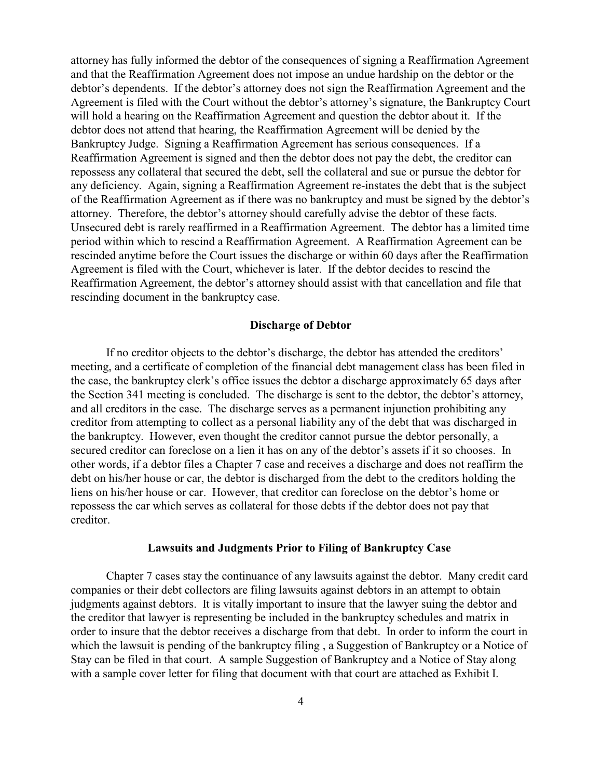attorney has fully informed the debtor of the consequences of signing a Reaffirmation Agreement and that the Reaffirmation Agreement does not impose an undue hardship on the debtor or the debtor's dependents. If the debtor's attorney does not sign the Reaffirmation Agreement and the Agreement is filed with the Court without the debtor's attorney's signature, the Bankruptcy Court will hold a hearing on the Reaffirmation Agreement and question the debtor about it. If the debtor does not attend that hearing, the Reaffirmation Agreement will be denied by the Bankruptcy Judge. Signing a Reaffirmation Agreement has serious consequences. If a Reaffirmation Agreement is signed and then the debtor does not pay the debt, the creditor can repossess any collateral that secured the debt, sell the collateral and sue or pursue the debtor for any deficiency. Again, signing a Reaffirmation Agreement re-instates the debt that is the subject of the Reaffirmation Agreement as if there was no bankruptcy and must be signed by the debtor's attorney. Therefore, the debtor's attorney should carefully advise the debtor of these facts. Unsecured debt is rarely reaffirmed in a Reaffirmation Agreement. The debtor has a limited time period within which to rescind a Reaffirmation Agreement. A Reaffirmation Agreement can be rescinded anytime before the Court issues the discharge or within 60 days after the Reaffirmation Agreement is filed with the Court, whichever is later. If the debtor decides to rescind the Reaffirmation Agreement, the debtor's attorney should assist with that cancellation and file that rescinding document in the bankruptcy case.

#### **Discharge of Debtor**

If no creditor objects to the debtor's discharge, the debtor has attended the creditors' meeting, and a certificate of completion of the financial debt management class has been filed in the case, the bankruptcy clerk's office issues the debtor a discharge approximately 65 days after the Section 341 meeting is concluded. The discharge is sent to the debtor, the debtor's attorney, and all creditors in the case. The discharge serves as a permanent injunction prohibiting any creditor from attempting to collect as a personal liability any of the debt that was discharged in the bankruptcy. However, even thought the creditor cannot pursue the debtor personally, a secured creditor can foreclose on a lien it has on any of the debtor's assets if it so chooses. In other words, if a debtor files a Chapter 7 case and receives a discharge and does not reaffirm the debt on his/her house or car, the debtor is discharged from the debt to the creditors holding the liens on his/her house or car. However, that creditor can foreclose on the debtor's home or repossess the car which serves as collateral for those debts if the debtor does not pay that creditor.

#### **Lawsuits and Judgments Prior to Filing of Bankruptcy Case**

Chapter 7 cases stay the continuance of any lawsuits against the debtor. Many credit card companies or their debt collectors are filing lawsuits against debtors in an attempt to obtain judgments against debtors. It is vitally important to insure that the lawyer suing the debtor and the creditor that lawyer is representing be included in the bankruptcy schedules and matrix in order to insure that the debtor receives a discharge from that debt. In order to inform the court in which the lawsuit is pending of the bankruptcy filing, a Suggestion of Bankruptcy or a Notice of Stay can be filed in that court. A sample Suggestion of Bankruptcy and a Notice of Stay along with a sample cover letter for filing that document with that court are attached as Exhibit I.